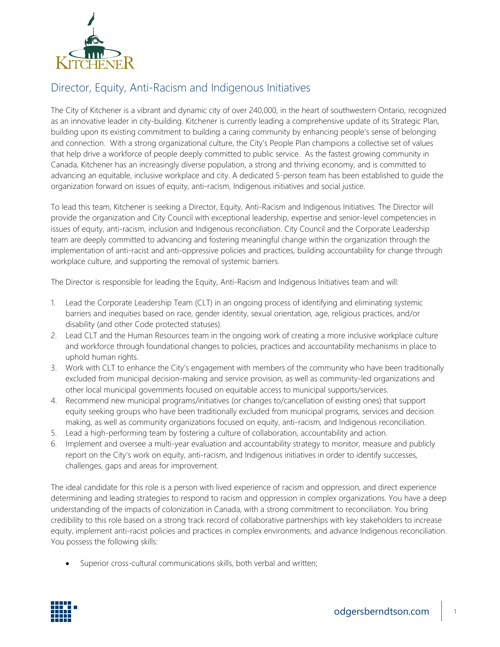

## Director, Equity, Anti-Racism and Indigenous Initiatives

The City of Kitchener is a vibrant and dynamic city of over 240,000, in the heart of southwestern Ontario, recognized as an innovative leader in city-building. Kitchener is currently leading a comprehensive update of its Strategic Plan, building upon its existing commitment to building a caring community by enhancing people's sense of belonging and connection. With a strong organizational culture, the City's People Plan champions a collective set of values that help drive a workforce of people deeply committed to public service. As the fastest growing community in Canada, Kitchener has an increasingly diverse population, a strong and thriving economy, and is committed to advancing an equitable, inclusive workplace and city. A dedicated 5-person team has been established to guide the organization forward on issues of equity, anti-racism, Indigenous initiatives and social justice.

To lead this team, Kitchener is seeking a Director, Equity, Anti-Racism and Indigenous Initiatives. The Director will provide the organization and City Council with exceptional leadership, expertise and senior-level competencies in issues of equity, anti-racism, inclusion and Indigenous reconciliation. City Council and the Corporate Leadership team are deeply committed to advancing and fostering meaningful change within the organization through the implementation of anti-racist and anti-oppressive policies and practices, building accountability for change through workplace culture, and supporting the removal of systemic barriers.

The Director is responsible for leading the Equity, Anti-Racism and Indigenous Initiatives team and will:

- 1. Lead the Corporate Leadership Team (CLT) in an ongoing process of identifying and eliminating systemic barriers and inequities based on race, gender identity, sexual orientation, age, religious practices, and/or disability (and other Code protected statuses).
- 2. Lead CLT and the Human Resources team in the ongoing work of creating a more inclusive workplace culture and workforce through foundational changes to policies, practices and accountability mechanisms in place to uphold human rights.
- 3. Work with CLT to enhance the City's engagement with members of the community who have been traditionally excluded from municipal decision-making and service provision, as well as community-led organizations and other local municipal governments focused on equitable access to municipal supports/services.
- 4. Recommend new municipal programs/initiatives (or changes to/cancellation of existing ones) that support equity seeking groups who have been traditionally excluded from municipal programs, services and decision making, as well as community organizations focused on equity, anti-racism, and Indigenous reconciliation.
- 5. Lead a high-performing team by fostering a culture of collaboration, accountability and action.
- 6. Implement and oversee a multi-year evaluation and accountability strategy to monitor, measure and publicly report on the City's work on equity, anti-racism, and Indigenous initiatives in order to identify successes, challenges, gaps and areas for improvement.

The ideal candidate for this role is a person with lived experience of racism and oppression, and direct experience determining and leading strategies to respond to racism and oppression in complex organizations. You have a deep understanding of the impacts of colonization in Canada, with a strong commitment to reconciliation. You bring credibility to this role based on a strong track record of collaborative partnerships with key stakeholders to increase equity, implement anti-racist policies and practices in complex environments, and advance Indigenous reconciliation. You possess the following skills:

• Superior cross-cultural communications skills, both verbal and written;